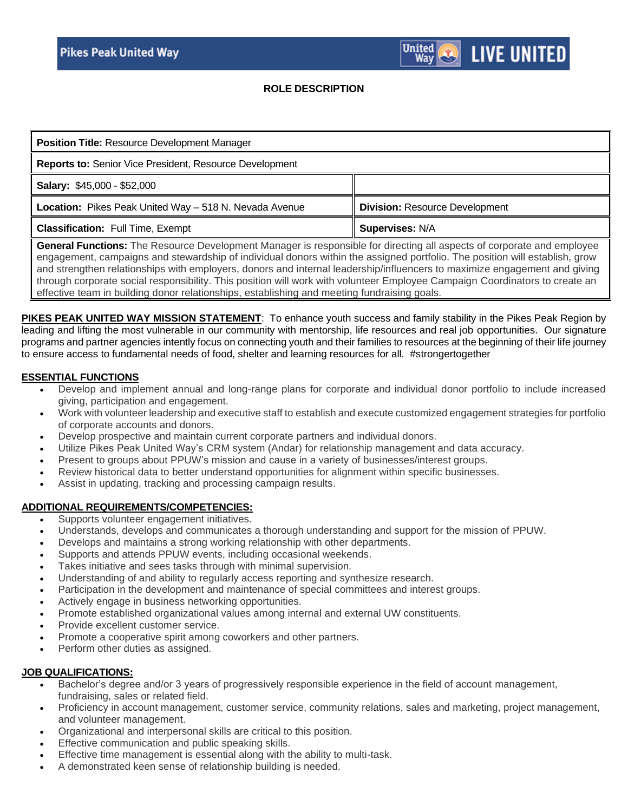#### **ROLE DESCRIPTION**

**United** 

Wav

**LIVE UNITED** 

| <b>Position Title: Resource Development Manager</b>     |                                       |
|---------------------------------------------------------|---------------------------------------|
| Reports to: Senior Vice President, Resource Development |                                       |
| <b>Salary: \$45,000 - \$52,000</b>                      |                                       |
| Location: Pikes Peak United Way - 518 N. Nevada Avenue  | <b>Division: Resource Development</b> |
| <b>Classification:</b> Full Time, Exempt                | Supervises: N/A                       |
|                                                         |                                       |

**General Functions:** The Resource Development Manager is responsible for directing all aspects of corporate and employee engagement, campaigns and stewardship of individual donors within the assigned portfolio. The position will establish, grow and strengthen relationships with employers, donors and internal leadership/influencers to maximize engagement and giving through corporate social responsibility. This position will work with volunteer Employee Campaign Coordinators to create an effective team in building donor relationships, establishing and meeting fundraising goals.

**PIKES PEAK UNITED WAY MISSION STATEMENT**: To enhance youth success and family stability in the Pikes Peak Region by leading and lifting the most vulnerable in our community with mentorship, life resources and real job opportunities. Our signature programs and partner agencies intently focus on connecting youth and their families to resources at the beginning of their life journey to ensure access to fundamental needs of food, shelter and learning resources for all. #strongertogether

# **ESSENTIAL FUNCTIONS**

- Develop and implement annual and long-range plans for corporate and individual donor portfolio to include increased giving, participation and engagement.
- Work with volunteer leadership and executive staff to establish and execute customized engagement strategies for portfolio of corporate accounts and donors.
- Develop prospective and maintain current corporate partners and individual donors.
- Utilize Pikes Peak United Way's CRM system (Andar) for relationship management and data accuracy.
- Present to groups about PPUW's mission and cause in a variety of businesses/interest groups.
- Review historical data to better understand opportunities for alignment within specific businesses.
- Assist in updating, tracking and processing campaign results.

#### **ADDITIONAL REQUIREMENTS/COMPETENCIES:**

- Supports volunteer engagement initiatives.
- Understands, develops and communicates a thorough understanding and support for the mission of PPUW.
- Develops and maintains a strong working relationship with other departments.
- Supports and attends PPUW events, including occasional weekends.
- Takes initiative and sees tasks through with minimal supervision.
- Understanding of and ability to regularly access reporting and synthesize research.
- Participation in the development and maintenance of special committees and interest groups.
- Actively engage in business networking opportunities.
- Promote established organizational values among internal and external UW constituents.
- Provide excellent customer service.
- Promote a cooperative spirit among coworkers and other partners.
- Perform other duties as assigned.

## **JOB QUALIFICATIONS:**

- Bachelor's degree and/or 3 years of progressively responsible experience in the field of account management, fundraising, sales or related field.
- Proficiency in account management, customer service, community relations, sales and marketing, project management, and volunteer management.
- Organizational and interpersonal skills are critical to this position.
- Effective communication and public speaking skills.
- Effective time management is essential along with the ability to multi-task.
- A demonstrated keen sense of relationship building is needed.